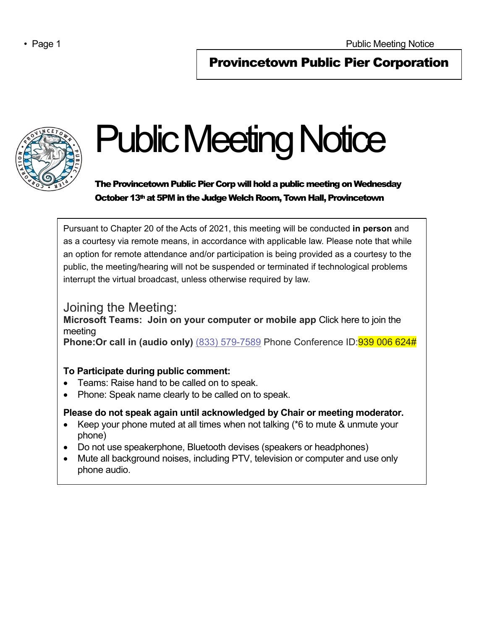# Provincetown Public Pier Corporation



 $\overline{\phantom{a}}$ 

# Public Meeting Notice

The Provincetown Public Pier Corp will hold a public meeting on Wednesday October 13<sup>th</sup> at 5PM in the Judge Welch Room, Town Hall, Provincetown

Pursuant to Chapter 20 of the Acts of 2021, this meeting will be conducted **in person** and as a courtesy via remote means, in accordance with applicable law. Please note that while an option for remote attendance and/or participation is being provided as a courtesy to the public, the meeting/hearing will not be suspended or terminated if technological problems interrupt the virtual broadcast, unless otherwise required by law.

## Joining the Meeting:

**Microsoft Teams: Join on your computer or mobile app** Click here to join the meeting

**Phone: Or call in (audio only)** (833) 579-7589 Phone Conference ID: **939 006 624#** 

#### **To Participate during public comment:**

- Teams: Raise hand to be called on to speak.
- Phone: Speak name clearly to be called on to speak.

### **Please do not speak again until acknowledged by Chair or meeting moderator.**

- Keep your phone muted at all times when not talking (\*6 to mute & unmute your phone)
- Do not use speakerphone, Bluetooth devises (speakers or headphones)
- Mute all background noises, including PTV, television or computer and use only phone audio.